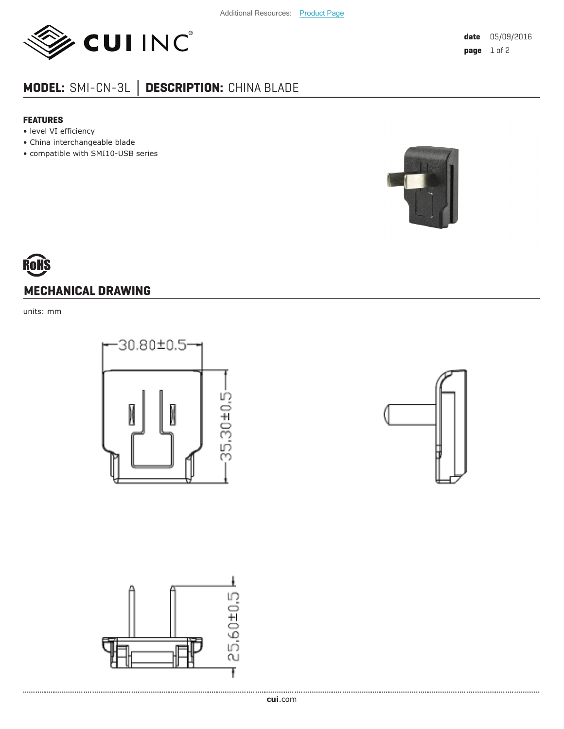

## **MODEL:** SMI-CN-3L **│ DESCRIPTION:** CHINA BLADE

## **FEATURES**

- level VI efficiency
- China interchangeable blade
- compatible with SMI10-USB series



## **MECHANICAL DRAWING**

units: mm







. . . . . . . . . . . . . . . . . . . .